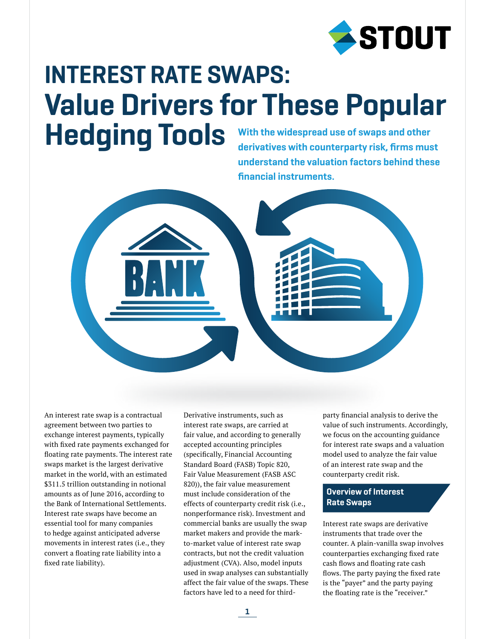

# With the widespread use of swaps and other INTEREST RATE SWAPS: Value Drivers for These Popular Hedging Tools

derivatives with counterparty risk, firms must understand the valuation factors behind these financial instruments.



An interest rate swap is a contractual agreement between two parties to exchange interest payments, typically with fixed rate payments exchanged for floating rate payments. The interest rate swaps market is the largest derivative market in the world, with an estimated \$311.5 trillion outstanding in notional amounts as of June 2016, according to the Bank of International Settlements. Interest rate swaps have become an essential tool for many companies to hedge against anticipated adverse movements in interest rates (i.e., they convert a floating rate liability into a fixed rate liability).

Derivative instruments, such as interest rate swaps, are carried at fair value, and according to generally accepted accounting principles (specifically, Financial Accounting Standard Board (FASB) Topic 820, Fair Value Measurement (FASB ASC 820)), the fair value measurement must include consideration of the effects of counterparty credit risk (i.e., nonperformance risk). Investment and commercial banks are usually the swap market makers and provide the markto-market value of interest rate swap contracts, but not the credit valuation adjustment (CVA). Also, model inputs used in swap analyses can substantially affect the fair value of the swaps. These factors have led to a need for third-

party financial analysis to derive the value of such instruments. Accordingly, we focus on the accounting guidance for interest rate swaps and a valuation model used to analyze the fair value of an interest rate swap and the counterparty credit risk.

# Overview of Interest Rate Swaps

Interest rate swaps are derivative instruments that trade over the counter. A plain-vanilla swap involves counterparties exchanging fixed rate cash flows and floating rate cash flows. The party paying the fixed rate is the "payer" and the party paying the floating rate is the "receiver."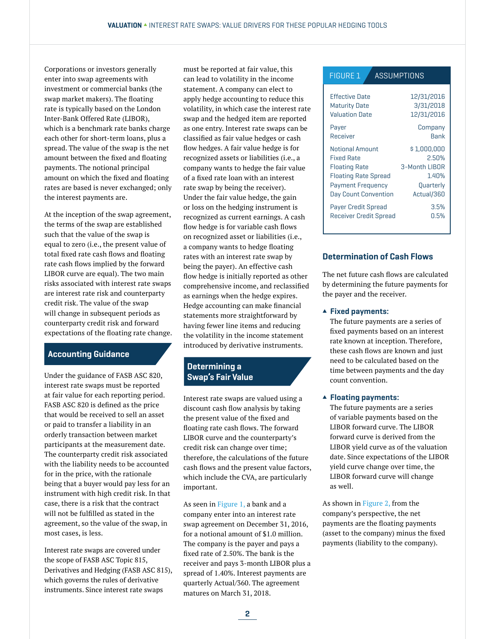Corporations or investors generally enter into swap agreements with investment or commercial banks (the swap market makers). The floating rate is typically based on the London Inter-Bank Offered Rate (LIBOR), which is a benchmark rate banks charge each other for short-term loans, plus a spread. The value of the swap is the net amount between the fixed and floating payments. The notional principal amount on which the fixed and floating rates are based is never exchanged; only the interest payments are.

At the inception of the swap agreement, the terms of the swap are established such that the value of the swap is equal to zero (i.e., the present value of total fixed rate cash flows and floating rate cash flows implied by the forward LIBOR curve are equal). The two main risks associated with interest rate swaps are interest rate risk and counterparty credit risk. The value of the swap will change in subsequent periods as counterparty credit risk and forward expectations of the floating rate change.

# Accounting Guidance

Under the guidance of FASB ASC 820, interest rate swaps must be reported at fair value for each reporting period. FASB ASC 820 is defined as the price that would be received to sell an asset or paid to transfer a liability in an orderly transaction between market participants at the measurement date. The counterparty credit risk associated with the liability needs to be accounted for in the price, with the rationale being that a buyer would pay less for an instrument with high credit risk. In that case, there is a risk that the contract will not be fulfilled as stated in the agreement, so the value of the swap, in most cases, is less.

Interest rate swaps are covered under the scope of FASB ASC Topic 815, Derivatives and Hedging (FASB ASC 815), which governs the rules of derivative instruments. Since interest rate swaps

must be reported at fair value, this can lead to volatility in the income statement. A company can elect to apply hedge accounting to reduce this volatility, in which case the interest rate swap and the hedged item are reported as one entry. Interest rate swaps can be classified as fair value hedges or cash flow hedges. A fair value hedge is for recognized assets or liabilities (i.e., a company wants to hedge the fair value of a fixed rate loan with an interest rate swap by being the receiver). Under the fair value hedge, the gain or loss on the hedging instrument is recognized as current earnings. A cash flow hedge is for variable cash flows on recognized asset or liabilities (i.e., a company wants to hedge floating rates with an interest rate swap by being the payer). An effective cash flow hedge is initially reported as other comprehensive income, and reclassified as earnings when the hedge expires. Hedge accounting can make financial statements more straightforward by having fewer line items and reducing the volatility in the income statement introduced by derivative instruments.

# Determining a Swap's Fair Value

Interest rate swaps are valued using a discount cash flow analysis by taking the present value of the fixed and floating rate cash flows. The forward LIBOR curve and the counterparty's credit risk can change over time; therefore, the calculations of the future cash flows and the present value factors, which include the CVA, are particularly important.

As seen in Figure 1, a bank and a company enter into an interest rate swap agreement on December 31, 2016, for a notional amount of \$1.0 million. The company is the payer and pays a fixed rate of 2.50%. The bank is the receiver and pays 3-month LIBOR plus a spread of 1.40%. Interest payments are quarterly Actual/360. The agreement matures on March 31, 2018.

#### **ASSUMPTIONS** FIGURE 1

| <b>Effective Date</b>         | 12/31/2016    |
|-------------------------------|---------------|
| <b>Maturity Date</b>          | 3/31/2018     |
| <b>Valuation Date</b>         | 12/31/2016    |
| Payer                         | Company       |
| Receiver                      | Bank          |
| Notional Amount               | \$1,000,000   |
| <b>Fixed Rate</b>             | 2.50%         |
| <b>Floating Rate</b>          | 3-Month LIBOR |
| <b>Floating Rate Spread</b>   | 1.40%         |
| <b>Payment Frequency</b>      | Quarterly     |
| Day Count Convention          | Actual/360    |
| <b>Payer Credit Spread</b>    | 3.5%          |
| <b>Receiver Credit Spread</b> | $0.5\%$       |

# Determination of Cash Flows

The net future cash flows are calculated by determining the future payments for the payer and the receiver.

#### $\blacktriangle$  Fixed payments:

The future payments are a series of fixed payments based on an interest rate known at inception. Therefore, these cash flows are known and just need to be calculated based on the time between payments and the day count convention.

#### $\blacktriangle$  Floating payments:

The future payments are a series of variable payments based on the LIBOR forward curve. The LIBOR forward curve is derived from the LIBOR yield curve as of the valuation date. Since expectations of the LIBOR yield curve change over time, the LIBOR forward curve will change as well.

As shown in Figure 2, from the company's perspective, the net payments are the floating payments (asset to the company) minus the fixed payments (liability to the company).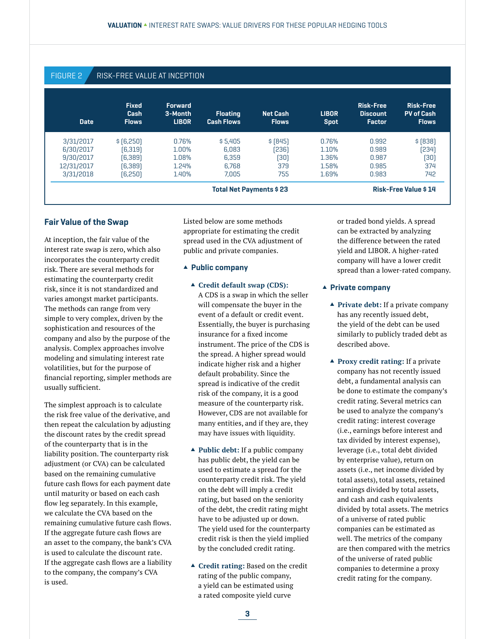# FIGURE 2 **RISK-FREE VALUE AT INCEPTION**

| <b>Date</b>             | <b>Fixed</b><br>Cash<br><b>Flows</b> | <b>Forward</b><br>3-Month<br><b>LIBOR</b> | <b>Floating</b><br><b>Cash Flows</b> | <b>Net Cash</b><br><b>Flows</b> | <b>LIBOR</b><br><b>Spot</b> | <b>Risk-Free</b><br><b>Discount</b><br><b>Factor</b> | <b>Risk-Free</b><br><b>PV of Cash</b><br><b>Flows</b> |
|-------------------------|--------------------------------------|-------------------------------------------|--------------------------------------|---------------------------------|-----------------------------|------------------------------------------------------|-------------------------------------------------------|
| 3/31/2017               | \$[6,250]                            | 0.76%                                     | \$5.405                              | \$[845]                         | 0.76%                       | 0.992                                                | \$ [838]                                              |
| 6/30/2017               | [6, 319]                             | 1.00%                                     | 6.083                                | 236                             | 1.10%                       | 0.989                                                | [234]                                                 |
| 9/30/2017               | (6,389)                              | 1.08%                                     | 6.359                                | [30]                            | 1.36%                       | 0.987                                                | (30)                                                  |
| 12/31/2017              | (6,389)                              | 1.24%                                     | 6.768                                | 379                             | 1.58%                       | 0.985                                                | 374                                                   |
| 3/31/2018               | (6,250)                              | 1.40%                                     | 7.005                                | 755                             | 1.69%                       | 0.983                                                | 742                                                   |
| Total Net Payments \$23 |                                      |                                           |                                      |                                 |                             | <b>Risk-Free Value \$14</b>                          |                                                       |

### Fair Value of the Swap

At inception, the fair value of the interest rate swap is zero, which also incorporates the counterparty credit risk. There are several methods for estimating the counterparty credit risk, since it is not standardized and varies amongst market participants. The methods can range from very simple to very complex, driven by the sophistication and resources of the company and also by the purpose of the analysis. Complex approaches involve modeling and simulating interest rate volatilities, but for the purpose of financial reporting, simpler methods are usually sufficient.

The simplest approach is to calculate the risk free value of the derivative, and then repeat the calculation by adjusting the discount rates by the credit spread of the counterparty that is in the liability position. The counterparty risk adjustment (or CVA) can be calculated based on the remaining cumulative future cash flows for each payment date until maturity or based on each cash flow leg separately. In this example, we calculate the CVA based on the remaining cumulative future cash flows. If the aggregate future cash flows are an asset to the company, the bank's CVA is used to calculate the discount rate. If the aggregate cash flows are a liability to the company, the company's CVA is used.

Listed below are some methods appropriate for estimating the credit spread used in the CVA adjustment of public and private companies.

#### $\triangle$  Public company

- **△ Credit default swap (CDS):** A CDS is a swap in which the seller will compensate the buyer in the event of a default or credit event. Essentially, the buyer is purchasing insurance for a fixed income instrument. The price of the CDS is the spread. A higher spread would indicate higher risk and a higher default probability. Since the spread is indicative of the credit risk of the company, it is a good measure of the counterparty risk. However, CDS are not available for many entities, and if they are, they may have issues with liquidity.
- **▲ Public debt:** If a public company has public debt, the yield can be used to estimate a spread for the counterparty credit risk. The yield on the debt will imply a credit rating, but based on the seniority of the debt, the credit rating might have to be adjusted up or down. The yield used for the counterparty credit risk is then the yield implied by the concluded credit rating.
- **▲ Credit rating: Based on the credit** rating of the public company, a yield can be estimated using a rated composite yield curve

or traded bond yields. A spread can be extracted by analyzing the difference between the rated yield and LIBOR. A higher-rated company will have a lower credit spread than a lower-rated company.

#### $\blacktriangle$  Private company

- **▲ Private debt:** If a private company has any recently issued debt, the yield of the debt can be used similarly to publicly traded debt as described above.
- s **Proxy credit rating:** If a private company has not recently issued debt, a fundamental analysis can be done to estimate the company's credit rating. Several metrics can be used to analyze the company's credit rating: interest coverage (i.e., earnings before interest and tax divided by interest expense), leverage (i.e., total debt divided by enterprise value), return on assets (i.e., net income divided by total assets), total assets, retained earnings divided by total assets, and cash and cash equivalents divided by total assets. The metrics of a universe of rated public companies can be estimated as well. The metrics of the company are then compared with the metrics of the universe of rated public companies to determine a proxy credit rating for the company.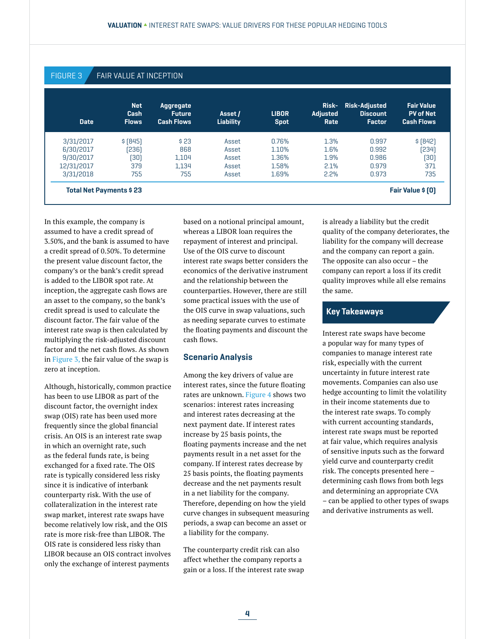# FIGURE 3 FAIR VALUE AT INCEPTION

| <b>Date</b> | Net.<br>Cash<br><b>Flows</b> | Aggregate<br><b>Future</b><br><b>Cash Flows</b> | Asset /<br>Liability | <b>LIBOR</b><br><b>Spot</b> | Risk-<br><b>Adjusted</b><br>Rate | <b>Risk-Adjusted</b><br><b>Discount</b><br><b>Factor</b> | <b>Fair Value</b><br><b>PV of Net</b><br><b>Cash Flows</b> |
|-------------|------------------------------|-------------------------------------------------|----------------------|-----------------------------|----------------------------------|----------------------------------------------------------|------------------------------------------------------------|
| 3/31/2017   | \$ [845]                     | \$23                                            | Asset                | 0.76%                       | 1.3%                             | 0.997                                                    | \$ [842]                                                   |
| 6/30/2017   | [236]                        | 868                                             | Asset                | 1.10%                       | 1.6%                             | 0.992                                                    | [234]                                                      |
| 9/30/2017   | [30]                         | 1.104                                           | Asset                | 1.36%                       | 1.9%                             | 0.986                                                    | (30)                                                       |
| 12/31/2017  | 379                          | 1.134                                           | Asset                | 1.58%                       | 2.1%                             | 0.979                                                    | 371                                                        |
| 3/31/2018   | 755                          | 755                                             | Asset                | 1.69%                       | 2.2%                             | 0.973                                                    | 735                                                        |

In this example, the company is assumed to have a credit spread of 3.50%, and the bank is assumed to have a credit spread of 0.50%. To determine the present value discount factor, the company's or the bank's credit spread is added to the LIBOR spot rate. At inception, the aggregate cash flows are an asset to the company, so the bank's credit spread is used to calculate the discount factor. The fair value of the interest rate swap is then calculated by multiplying the risk-adjusted discount factor and the net cash flows. As shown in Figure 3, the fair value of the swap is zero at inception.

Although, historically, common practice has been to use LIBOR as part of the discount factor, the overnight index swap (OIS) rate has been used more frequently since the global financial crisis. An OIS is an interest rate swap in which an overnight rate, such as the federal funds rate, is being exchanged for a fixed rate. The OIS rate is typically considered less risky since it is indicative of interbank counterparty risk. With the use of collateralization in the interest rate swap market, interest rate swaps have become relatively low risk, and the OIS rate is more risk-free than LIBOR. The OIS rate is considered less risky than LIBOR because an OIS contract involves only the exchange of interest payments

based on a notional principal amount, whereas a LIBOR loan requires the repayment of interest and principal. Use of the OIS curve to discount interest rate swaps better considers the economics of the derivative instrument and the relationship between the counterparties. However, there are still some practical issues with the use of the OIS curve in swap valuations, such as needing separate curves to estimate the floating payments and discount the cash flows.

#### Scenario Analysis

Among the key drivers of value are interest rates, since the future floating rates are unknown. Figure 4 shows two scenarios: interest rates increasing and interest rates decreasing at the next payment date. If interest rates increase by 25 basis points, the floating payments increase and the net payments result in a net asset for the company. If interest rates decrease by 25 basis points, the floating payments decrease and the net payments result in a net liability for the company. Therefore, depending on how the yield curve changes in subsequent measuring periods, a swap can become an asset or a liability for the company.

The counterparty credit risk can also affect whether the company reports a gain or a loss. If the interest rate swap is already a liability but the credit quality of the company deteriorates, the liability for the company will decrease and the company can report a gain. The opposite can also occur – the company can report a loss if its credit quality improves while all else remains the same.

## Key Takeaways

Interest rate swaps have become a popular way for many types of companies to manage interest rate risk, especially with the current uncertainty in future interest rate movements. Companies can also use hedge accounting to limit the volatility in their income statements due to the interest rate swaps. To comply with current accounting standards, interest rate swaps must be reported at fair value, which requires analysis of sensitive inputs such as the forward yield curve and counterparty credit risk. The concepts presented here – determining cash flows from both legs and determining an appropriate CVA – can be applied to other types of swaps and derivative instruments as well.